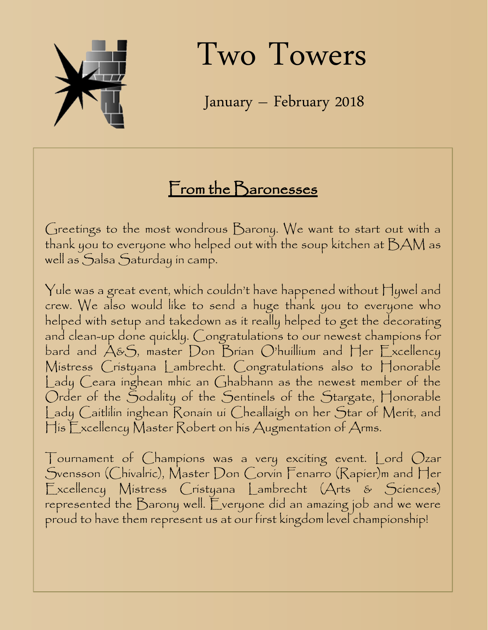

Two Towers

January – February 2018

## From the Baronesses

Greetings to the most wondrous Barony. We want to start out with a thank you to everyone who helped out with the soup kitchen at  $\beta\mathcal{AM}$  as well as Salsa Saturday in camp.

Yule was a great event, which couldn't have happened without Hywel and crew. We also would like to send a huge thank you to everyone who helped with setup and takedown as it really helped to get the decorating and clean-up done quickly. Congratulations to our newest champions for bard and A&S, master Don Brian O'huillium and Her Excellency Mistress Cristyana Lambrecht. Congratulations also to Honorable Lady Ceara inghean mhic an Ghabhann as the newest member of the Order of the Sodality of the Sentinels of the Stargate, Honorable Lady Caitlilin inghean Ronain ui Cheallaigh on her Star of Merit, and His Excellency Master Robert on his Augmentation of Arms.

Tournament of Champions was a very exciting event. Lord Ozar Svensson (Chivalric), Master Don Corvin Fenarro (Rapier)m and Her Excellency Mistress Cristyana Lambrecht (Arts & Sciences) represented the Barony well. Everyone did an amazing job and we were proud to have them represent us at our first kingdom level championship!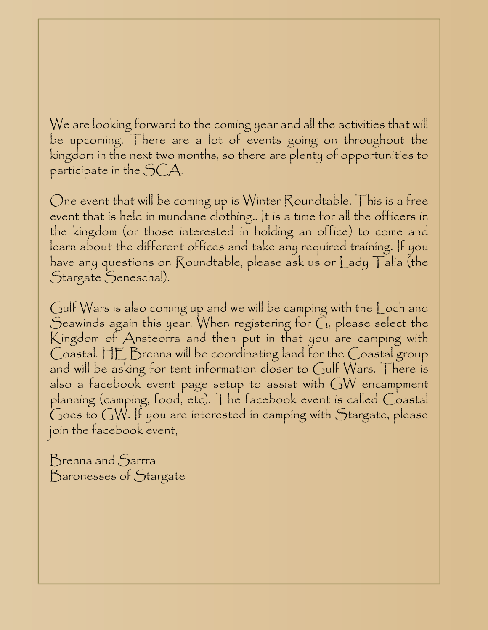We are looking forward to the coming year and all the activities that will be upcoming. There are a lot of events going on throughout the kingdom in the next two months, so there are plenty of opportunities to participate in the SCA.

One event that will be coming up is Winter Roundtable. This is a free event that is held in mundane clothing.. It is a time for all the officers in the kingdom (or those interested in holding an office) to come and learn about the different offices and take any required training. If you have any questions on Roundtable, please ask us or Lady Talia (the Stargate Seneschal).

Gulf Wars is also coming up and we will be camping with the Loch and Seawinds again this year. When registering for  $G$ , please select the Kingdom of Ansteorra and then put in that you are camping with Coastal. HE Brenna will be coordinating land for the Coastal group and will be asking for tent information closer to Gulf Wars. There is also a facebook event page setup to assist with  $GW$  encampment planning (camping, food, etc). The facebook event is called Coastal Goes to GW. If you are interested in camping with Stargate, please join the facebook event,

Brenna and Sarrra Baronesses of Stargate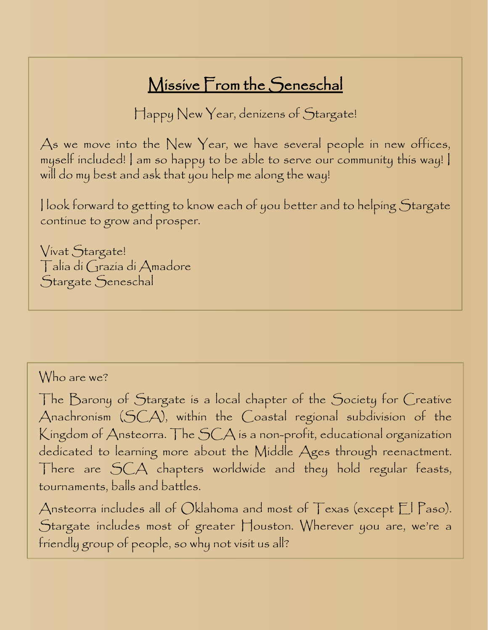## Missive From the Seneschal

Happy New Year, denizens of Stargate!

As we move into the New Year, we have several people in new offices, myself included! I am so happy to be able to serve our community this way! I will do my best and ask that you help me along the way!

I look forward to getting to know each of you better and to helping Stargate continue to grow and prosper.

Vivat Stargate! Talia di Grazia di Amadore Stargate Seneschal

#### Who are we?

The Barony of Stargate is a local chapter of the Society for Creative Anachronism (SCA), within the Coastal regional subdivision of the Kingdom of Ansteorra. The SCA is a non-profit, educational organization dedicated to learning more about the Middle Ages through reenactment. There are SCA chapters worldwide and they hold regular feasts, tournaments, balls and battles.

Ansteorra includes all of Oklahoma and most of  $\top$ exas (except  $\mathbb{E}$  Paso). Stargate includes most of greater Houston. Wherever you are, we're a friendly group of people, so why not visit us all?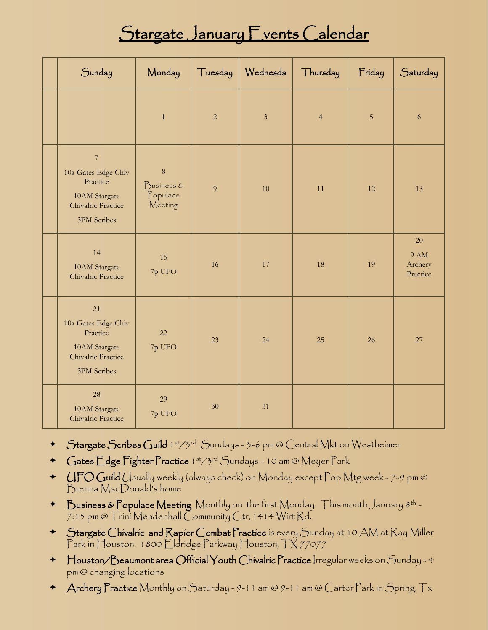## Stargate January Events Calendar

| Sunday                                                                                                  | Monday                                       | Tuesday        | Wednesda       | Thursday       | Friday | Saturday                                 |
|---------------------------------------------------------------------------------------------------------|----------------------------------------------|----------------|----------------|----------------|--------|------------------------------------------|
|                                                                                                         | $\mathbf{1}$                                 | $\overline{2}$ | $\overline{3}$ | $\overline{4}$ | 5      | 6                                        |
| $\overline{7}$<br>10a Gates Edge Chiv<br>Practice<br>10AM Stargate<br>Chivalric Practice<br>3PM Scribes | $\,8\,$<br>Business &<br>Populace<br>Meeting | 9              | 10             | 11             | 12     | 13                                       |
| 14<br>10AM Stargate<br>Chivalric Practice                                                               | 15<br>7p UFO                                 | 16             | 17             | 18             | 19     | 20<br><b>9 AM</b><br>Archery<br>Practice |
| 21<br>10a Gates Edge Chiv<br>Practice<br>10AM Stargate<br>Chivalric Practice<br><b>3PM</b> Scribes      | 22<br>7p UFO                                 | 23             | 24             | 25             | 26     | 27                                       |
| 28<br>10AM Stargate<br>Chivalric Practice                                                               | 29<br>7p UFO                                 | 30             | 31             |                |        |                                          |

- + Stargate Scribes Guild 1st/3rd Sundays 3-6 pm @ Central Mkt on Westheimer
- + Gates Edge Fighter Practice 1st/3rd Sundays 10 am @ Meyer Park
- UFO Guild Usually weekly (always check) on Monday except Pop Mtg week 7-9 pm @ Brenna MacDonald's home
- $\blacklozenge$  Business & Populace Meeting Monthly on the first Monday. This month January  $8^{\text{th}}$  -7:15 pm @ Trini Mendenhall Community Ctr, 1414 Wirt Rd.
- Stargate Chivalric and Rapier Combat Practice is every Sunday at 10 AM at Ray Miller Park in Houston. 1800 Eldridge Parkway Houston, TX 77077
- Houston/Beaumont area Official Youth Chivalric Practice Irregular weeks on Sunday 4 pm @ changing locations
- Archery Practice Monthly on Saturday 9-11 am @ 9-11 am @ Carter Park in Spring, Tx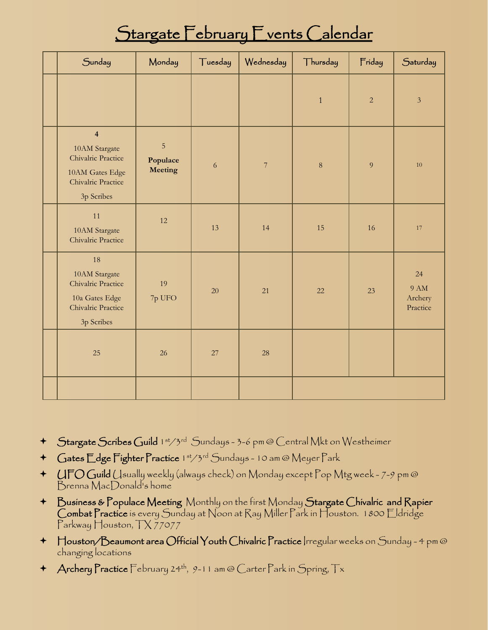## Stargate February Fvents Calendar

| Sunday                                                                                                                | Monday                   | Tuesday | Wednesday                | Thursday     | Friday         | Saturday                                 |
|-----------------------------------------------------------------------------------------------------------------------|--------------------------|---------|--------------------------|--------------|----------------|------------------------------------------|
|                                                                                                                       |                          |         |                          | $\mathbf{1}$ | $\overline{2}$ | $\mathfrak{Z}$                           |
| $\overline{\mathbf{4}}$<br>10AM Stargate<br>Chivalric Practice<br>10AM Gates Edge<br>Chivalric Practice<br>3p Scribes | 5<br>Populace<br>Meeting | 6       | $\overline{\mathcal{I}}$ | $\,8\,$      | 9              | $10\,$                                   |
| 11<br>10AM Stargate<br>Chivalric Practice                                                                             | 12                       | 13      | 14                       | 15           | 16             | 17                                       |
| 18<br>10AM Stargate<br>Chivalric Practice<br>10a Gates Edge<br>Chivalric Practice<br>3p Scribes                       | 19<br>7p UFO             | 20      | 21                       | 22           | 23             | 24<br><b>9 AM</b><br>Archery<br>Practice |
| 25                                                                                                                    | 26                       | 27      | 28                       |              |                |                                          |
|                                                                                                                       |                          |         |                          |              |                |                                          |

- + Stargate Scribes Guild 1st/3rd Sundays 3-6 pm @ Central Mkt on Westheimer
- + Gates Edge Fighter Practice 1st/3rd Sundays 10 am @ Meyer Park
- +  $UFOG$ uild (Jsually weekly (always check) on Monday except Pop Mtg week 7-9 pm @ Brenna MacDonald's home
- Business & Populace Meeting Monthly on the first Monday Stargate Chivalric and Rapier Combat Practice is every Sunday at Noon at Ray Miller Park in Houston. 1800 Eldridge Parkway Houston, TX 77077
- Houston/Beaumont area Official Youth Chivalric Practice Irregular weeks on Sunday 4 pm @ changing locations
- $\triangleq$  Archery Practice February 24<sup>th</sup>, 9-11 am @ Carter Park in Spring, Tx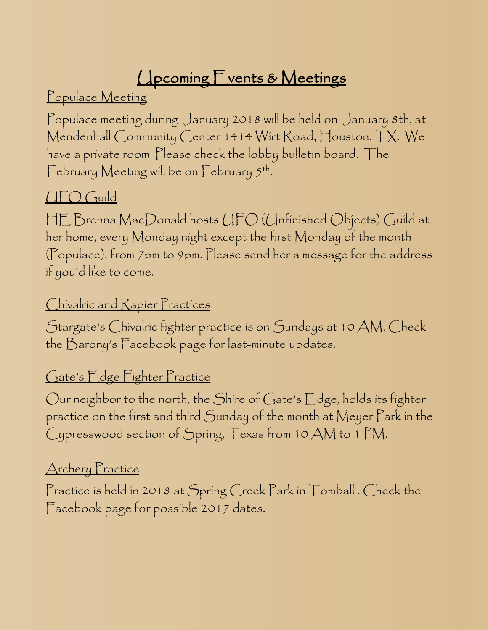# **Upcoming Events & Meetings**

Populace Meeting

Populace meeting during January 2018 will be held on January 8th, at Mendenhall Community Center 1414 Wirt Road, Houston, TX. We have a private room. Please check the lobby bulletin board. The February Meeting will be on February 5th.

### UFO Guild

HE Brenna MacDonald hosts UFO (Unfinished Objects) Guild at her home, every Monday night except the first Monday of the month (Populace), from 7pm to 9pm. Please send her a message for the address if you'd like to come.

#### Chivalric and Rapier Practices

Stargate's Chivalric fighter practice is on Sundays at 10 AM. Check the Barony's Facebook page for last-minute updates.

#### Gate's Edge Fighter Practice

Our neighbor to the north, the Shire of Gate's Edge, holds its fighter practice on the first and third Sunday of the month at Meyer Park in the Cypresswood section of Spring, Texas from 10 AM to 1 PM.

#### Archery Practice

Practice is held in 2018 at Spring Creek Park in Tomball . Check the Facebook page for possible 2017 dates.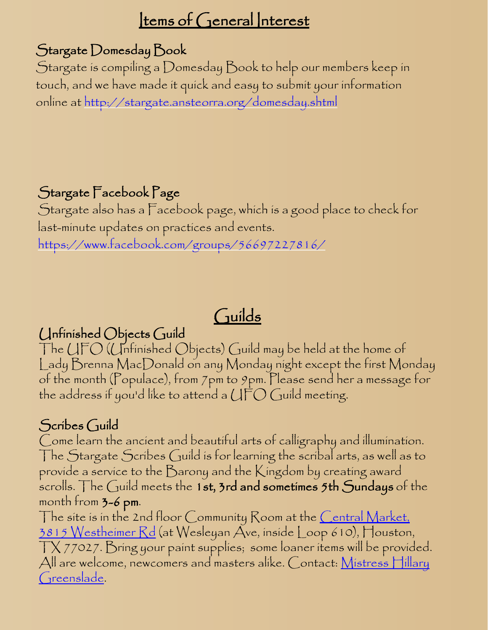## Items of General Interest

#### Stargate Domesday Book

Stargate is compiling a Domesday Book to help our members keep in touch, and we have made it quick and easy to submit your information online at <http://stargate.ansteorra.org/domesday.shtml>

## Stargate Facebook Page

Stargate also has a Facebook page, which is a good place to check for last-minute updates on practices and events. <https://www.facebook.com/groups/56697227816/>

## Guilds

### Unfinished Objects Guild

The UFO (Unfinished Objects) Guild may be held at the home of Lady Brenna MacDonald on any Monday night except the first Monday of the month (Populace), from 7pm to 9pm. Please send her a message for the address if you'd like to attend a  $\mathop{\bigcup}\limits_{}^{} \mathop{\bigcap}\limits_{}^{} G$  uild meeting.

### Scribes Guild

Come learn the ancient and beautiful arts of calligraphy and illumination. The Stargate Scribes Guild is for learning the scribal arts, as well as to provide a service to the Barony and the Kingdom by creating award scrolls. The Guild meets the 1st,  $3$ rd and sometimes  $5$ th Sundays of the month from  $3-6$  pm.

The site is in the 2nd floor Community Room at the <u>Central Market</u>, [3815 Westheimer Rd](http://maps.google.com/maps?near=Westheimer+Rd+&+Weslayan+St,+Houston,+TX+77027&geocode=&q=Central+Market&f=l&hl=en&sll=29.743066,-95.441666&sspn=0.008365,0.013776&ie=UTF8&ll=29.741743,-95.441666&spn=0.008365,0.013776&z=16&om=1) (at Wesleyan Ave, inside Loop 610), Houston, TX 77027. Bring your paint supplies; some loaner items will be provided. All are welcome, newcomers and masters alike. Contact:  $M$ istress Hillary [Greenslade](mailto:hillaryrg@yahoo.com).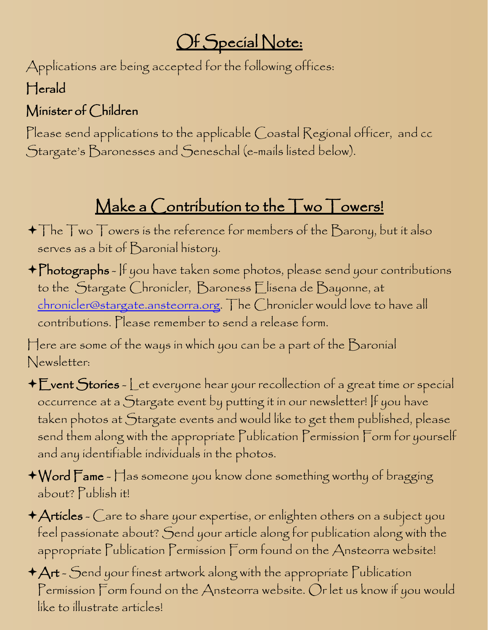# Of Special Note:

Applications are being accepted for the following offices: Herald

## Minister of Children

Please send applications to the applicable Coastal Regional officer, and cc Stargate's Baronesses and Seneschal (e-mails listed below).

# Make a Contribution to the Two Towers!

- $\blacklozenge \top$ he  $\top$ wo  $\top$ owers is the reference for members of the  $\mathcal B$ arony, but it also serves as a bit of Baronial history.
- Photographs If you have taken some photos, please send your contributions to the Stargate Chronicler, Baroness Elisena de Bayonne, at [chronicler@stargate.ansteorra.org](mailto:chronicler@stargate.ansteorra.org). The Chronicler would love to have all contributions. Please remember to send a release form.

Here are some of the ways in which you can be a part of the Baronial Newsletter:

- Event Stories Let everyone hear your recollection of a great time or special occurrence at a Stargate event by putting it in our newsletter! If you have taken photos at Stargate events and would like to get them published, please send them along with the appropriate Publication Permission Form for yourself and any identifiable individuals in the photos.
- Word Fame Has someone you know done something worthy of bragging about? Publish it!
- Articles Care to share your expertise, or enlighten others on a subject you feel passionate about? Send your article along for publication along with the appropriate Publication Permission Form found on the Ansteorra website!
- $+A$ rt Send your finest artwork along with the appropriate Publication Permission Form found on the Ansteorra website. Or let us know if you would like to illustrate articles!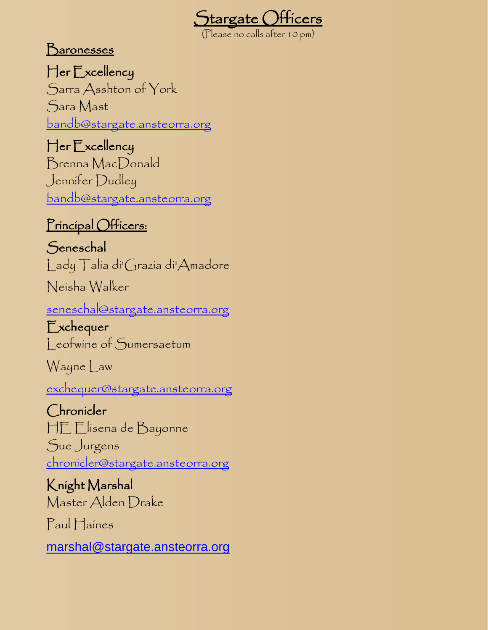

Baronesses

Her Excellency Sarra Asshton of York Sara Mast [bandb@stargate.ansteorra.org](mailto:bandb@stargate.ansteorra.org)

Her Excellency Brenna MacDonald Jennifer Dudley [bandb@stargate.ansteorra.org](mailto:bandb@stargate.ansteorra.org)

#### Principal Officers:

**Seneschal** Lady Talia di'Grazia di'Amadore

Neisha Walker

[seneschal@stargate.ansteorra.org](mailto:seneschal@stargate.ansteorra.org)

Exchequer Leofwine of Sumersaetum

Wayne Law

[exchequer@stargate.ansteorra.org](mailto:exchequer@stargate.ansteorra.org?subject=Question%20for%20Stargate%20Exchequer)

Chronicler HE Elisena de Bayonne Sue Jurgens [chronicler@stargate.ansteorra.org](mailto:chronicler@stargate.ansteorra.org)

Knight Marshal Master Alden Drake

Paul Haines

[marshal@stargate.ansteorra.org](mailto:marshal@stargate.ansteorra.org)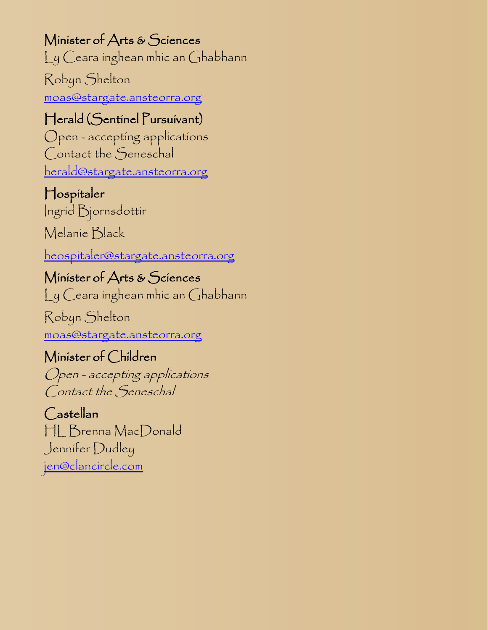Minister of Arts & Sciences Ly Ceara inghean mhic an Ghabhann

Robyn Shelton [moas@stargate.ansteorra.org](mailto:moas@stargate.ansteorra.org)

#### Herald (Sentinel Pursuivant)

Open - accepting applications Contact the Seneschal [herald@stargate.ansteorra.org](mailto:herald@stargate.ansteorra.org)

#### Hospitaler

Ingrid Bjornsdottir

Melanie Black

[heospitaler@stargate.ansteorra.org](mailto:heospitaler@stargate.ansteorra.org)

Minister of Arts & Sciences Ly Ceara inghean mhic an Ghabhann

Robyn Shelton [moas@stargate.ansteorra.org](mailto:moas@stargate.ansteorra.org)

## Minister of Children

Open - accepting applications Contact the Seneschal

Castellan HL Brenna MacDonald Jennifer Dudley [jen@clancircle.com](mailto:jen@clancircle.com)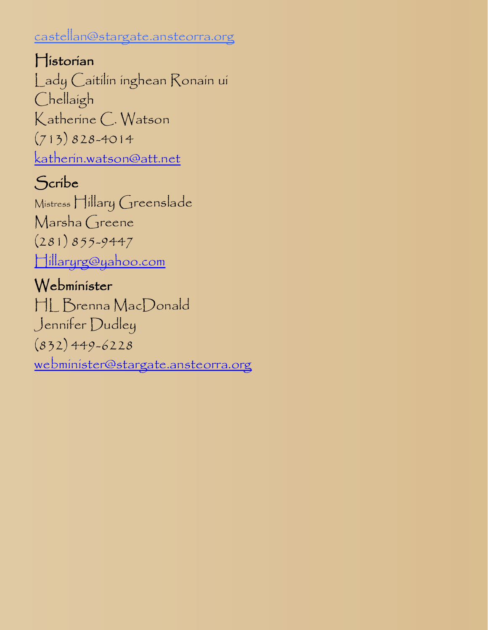#### castellan@stargate.ansteorra.org

Historian Lady Caitilin inghean Ronain ui Chellaigh Katherine C. Watson (713) 828-4014 [katherin.watson@att.net](mailto:katherin.watson@att.net?subject=For%20the%20Stargate%20Historian)

## Scribe

Mistress Hillary Greenslade Marsha Greene (281) 855-9447 [Hillaryrg@yahoo.com](mailto:Hillaryrg@yahoo.com)

## Webminister

HL Brenna MacDonald Jennifer Dudley (832) 449-6228 [webminister@stargate.ansteorra.org](mailto:webminister@stargate.ansteorra.org)